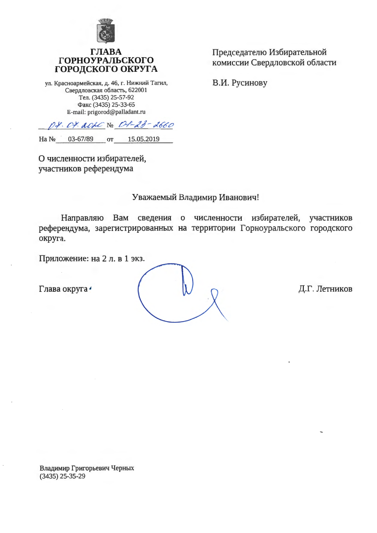

#### ГЛ **ГОРНОУРАЛЬСКОГО** ГОРОДСКОГО ОКРУГА

ул. Красноармейская, д. 46, г. Нижний Тагил, Свердловская область, 622001 Тел. (3435) 25-57-92 Факс (3435) 25-33-65 E-mail: prigorod@palladant.ru

Председателю Избирательной комиссии Свердловской области

В.И. Русинову

Dt. Ot. aout No. 0-1-23-2660 Ha No 03-67/89 от 15.05.2019

О численности избирателей, участников референдума

### Уважаемый Владимир Иванович!

Направляю Вам сведения о численности избирателей, участников референдума, зарегистрированных на территории Горноуральского городского округа.

Приложение: на 2 л. в 1 экз.

Глава округа •

Д.Г. Летников

Владимир Григорьевич Черных  $(3435)$  25-35-29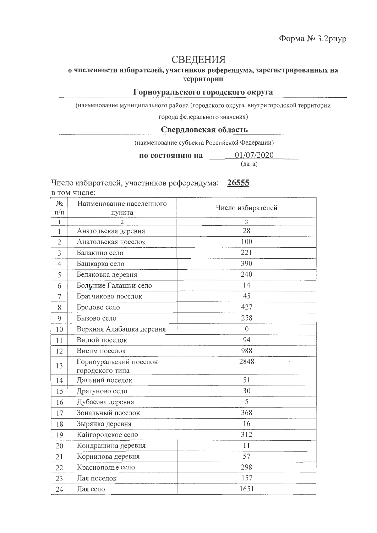## СВЕДЕНИЯ

#### о численности избирателей, участников референдума, зарегистрированных на территории

#### Горноуральского городского округа

(наименование муниципального района (городского округа, внутригородской территории

города федерального значения)

#### Свердловская область

(наименование субъекта Российской Федерации)

по состоянию на

(дата)

01/07/2020

# Число избирателей, участников референдума: 26555

в том числе:

| $N_2$<br>$\Pi/\Pi$ | Наименование населенного<br>пункта | Число избирателей |
|--------------------|------------------------------------|-------------------|
| $\mathbf{I}$       | $\overline{2}$                     | 3                 |
| $\mathbf{1}$       | Анатольская деревня                | 28                |
| $\overline{2}$     | Анатольская поселок                | 100               |
| 3                  | Балакино село                      | 221               |
| 4                  | Башкарка село                      | 390               |
| 5                  | Беляковка деревня                  | 240               |
| 6                  | Большие Галашки село               | 14                |
| $\overline{7}$     | Братчиково поселок                 | 45                |
| 8                  | Бродово село                       | 427               |
| 9                  | Бызово село                        | 258               |
| 10                 | Верхняя Алабашка деревня           | $\overline{0}$    |
| 11                 | Вилюй поселок                      | 94                |
| 12                 | Висим поселок                      | 988               |
| 13                 | Горноуральский поселок             | 2848              |
| 14                 | городского типа<br>Дальний поселок | 51                |
| 15                 | Дрягуново село                     | 30                |
| 16                 | Дубасова деревня                   | 5                 |
| 17                 | Зональный поселок                  | 368               |
| 18                 | Зырянка деревня                    | 16                |
| 19                 | Кайгородское село                  | 312               |
| 20                 | Кондрашина деревня                 | 11                |
|                    | Корнилова деревня                  | 57                |
| 21                 |                                    | 298               |
| 22                 | Краснополье село                   | 157               |
| 23                 | Лая поселок                        |                   |
| 24                 | Лая село                           | 1651              |